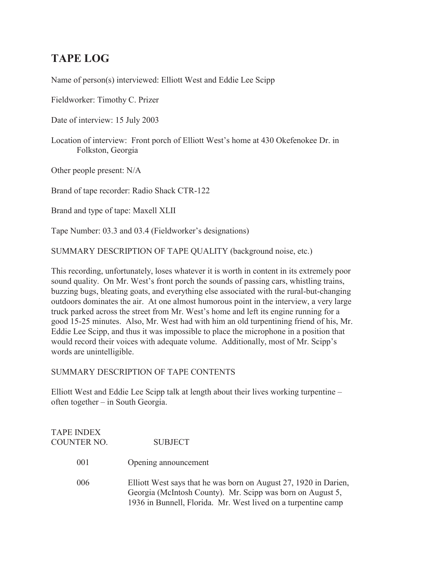## **TAPE LOG**

Name of person(s) interviewed: Elliott West and Eddie Lee Scipp

Fieldworker: Timothy C. Prizer

Date of interview: 15 July 2003

Location of interview: Front porch of Elliott West's home at 430 Okefenokee Dr. in Folkston, Georgia

Other people present: N/A

Brand of tape recorder: Radio Shack CTR-122

Brand and type of tape: Maxell XLII

Tape Number: 03.3 and 03.4 (Fieldworker's designations)

SUMMARY DESCRIPTION OF TAPE QUALITY (background noise, etc.)

This recording, unfortunately, loses whatever it is worth in content in its extremely poor sound quality. On Mr. West's front porch the sounds of passing cars, whistling trains, buzzing bugs, bleating goats, and everything else associated with the rural-but-changing outdoors dominates the air. At one almost humorous point in the interview, a very large truck parked across the street from Mr. West's home and left its engine running for a good 15-25 minutes. Also, Mr. West had with him an old turpentining friend of his, Mr. Eddie Lee Scipp, and thus it was impossible to place the microphone in a position that would record their voices with adequate volume. Additionally, most of Mr. Scipp's words are unintelligible.

SUMMARY DESCRIPTION OF TAPE CONTENTS

Elliott West and Eddie Lee Scipp talk at length about their lives working turpentine – often together – in South Georgia.

| <b>TAPE INDEX</b><br><b>COUNTER NO.</b> | <b>SUBJECT</b>                                                                                                                                                                                  |
|-----------------------------------------|-------------------------------------------------------------------------------------------------------------------------------------------------------------------------------------------------|
| 001                                     | Opening announcement                                                                                                                                                                            |
| 006                                     | Elliott West says that he was born on August 27, 1920 in Darien,<br>Georgia (McIntosh County). Mr. Scipp was born on August 5,<br>1936 in Bunnell, Florida. Mr. West lived on a turpentine camp |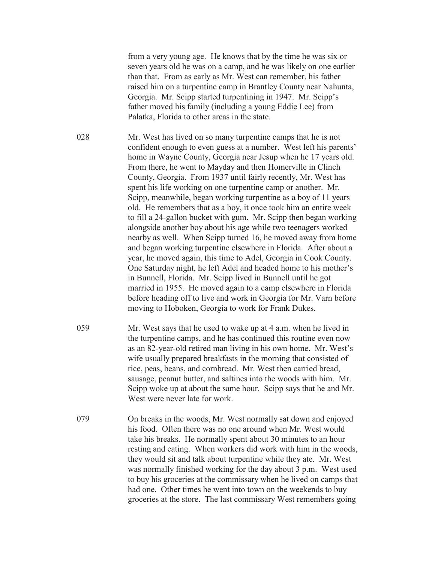from a very young age. He knows that by the time he was six or seven years old he was on a camp, and he was likely on one earlier than that. From as early as Mr. West can remember, his father raised him on a turpentine camp in Brantley County near Nahunta, Georgia. Mr. Scipp started turpentining in 1947. Mr. Scipp's father moved his family (including a young Eddie Lee) from Palatka, Florida to other areas in the state.

028 Mr. West has lived on so many turpentine camps that he is not confident enough to even guess at a number. West left his parents' home in Wayne County, Georgia near Jesup when he 17 years old. From there, he went to Mayday and then Homerville in Clinch County, Georgia. From 1937 until fairly recently, Mr. West has spent his life working on one turpentine camp or another. Mr. Scipp, meanwhile, began working turpentine as a boy of 11 years old. He remembers that as a boy, it once took him an entire week to fill a 24-gallon bucket with gum. Mr. Scipp then began working alongside another boy about his age while two teenagers worked nearby as well. When Scipp turned 16, he moved away from home and began working turpentine elsewhere in Florida. After about a year, he moved again, this time to Adel, Georgia in Cook County. One Saturday night, he left Adel and headed home to his mother's in Bunnell, Florida. Mr. Scipp lived in Bunnell until he got married in 1955. He moved again to a camp elsewhere in Florida before heading off to live and work in Georgia for Mr. Varn before moving to Hoboken, Georgia to work for Frank Dukes.

- 059 Mr. West says that he used to wake up at 4 a.m. when he lived in the turpentine camps, and he has continued this routine even now as an 82-year-old retired man living in his own home. Mr. West's wife usually prepared breakfasts in the morning that consisted of rice, peas, beans, and cornbread. Mr. West then carried bread, sausage, peanut butter, and saltines into the woods with him. Mr. Scipp woke up at about the same hour. Scipp says that he and Mr. West were never late for work.
- 079 On breaks in the woods, Mr. West normally sat down and enjoyed his food. Often there was no one around when Mr. West would take his breaks. He normally spent about 30 minutes to an hour resting and eating. When workers did work with him in the woods, they would sit and talk about turpentine while they ate. Mr. West was normally finished working for the day about 3 p.m. West used to buy his groceries at the commissary when he lived on camps that had one. Other times he went into town on the weekends to buy groceries at the store. The last commissary West remembers going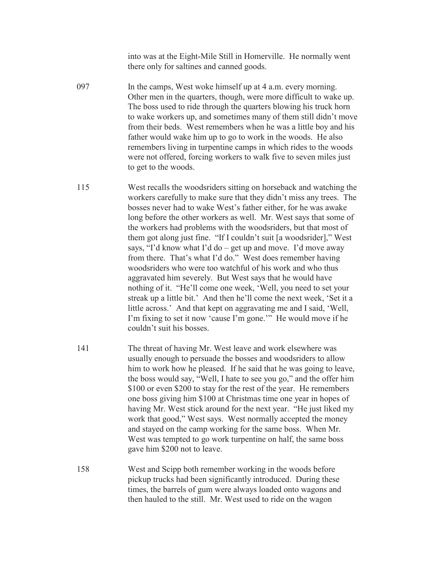into was at the Eight-Mile Still in Homerville. He normally went there only for saltines and canned goods.

- 097 In the camps, West woke himself up at 4 a.m. every morning. Other men in the quarters, though, were more difficult to wake up. The boss used to ride through the quarters blowing his truck horn to wake workers up, and sometimes many of them still didn't move from their beds. West remembers when he was a little boy and his father would wake him up to go to work in the woods. He also remembers living in turpentine camps in which rides to the woods were not offered, forcing workers to walk five to seven miles just to get to the woods.
- 115 West recalls the woodsriders sitting on horseback and watching the workers carefully to make sure that they didn't miss any trees. The bosses never had to wake West's father either, for he was awake long before the other workers as well. Mr. West says that some of the workers had problems with the woodsriders, but that most of them got along just fine. "If I couldn't suit [a woodsrider]," West says, "I'd know what I'd do – get up and move. I'd move away from there. That's what I'd do." West does remember having woodsriders who were too watchful of his work and who thus aggravated him severely. But West says that he would have nothing of it. "He'll come one week, 'Well, you need to set your streak up a little bit.' And then he'll come the next week, 'Set it a little across.' And that kept on aggravating me and I said, 'Well, I'm fixing to set it now 'cause I'm gone.'" He would move if he couldn't suit his bosses.
- 141 The threat of having Mr. West leave and work elsewhere was usually enough to persuade the bosses and woodsriders to allow him to work how he pleased. If he said that he was going to leave, the boss would say, "Well, I hate to see you go," and the offer him \$100 or even \$200 to stay for the rest of the year. He remembers one boss giving him \$100 at Christmas time one year in hopes of having Mr. West stick around for the next year. "He just liked my work that good," West says. West normally accepted the money and stayed on the camp working for the same boss. When Mr. West was tempted to go work turpentine on half, the same boss gave him \$200 not to leave.
- 158 West and Scipp both remember working in the woods before pickup trucks had been significantly introduced. During these times, the barrels of gum were always loaded onto wagons and then hauled to the still. Mr. West used to ride on the wagon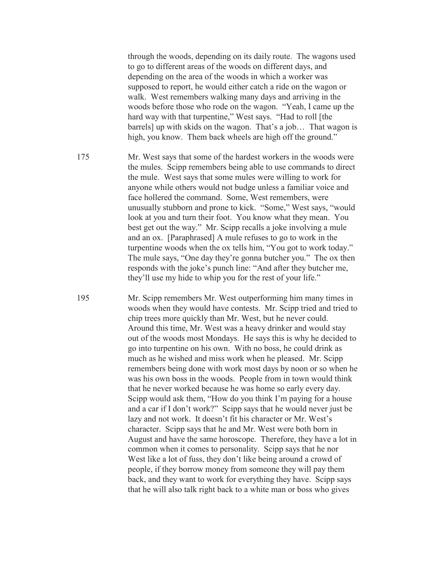through the woods, depending on its daily route. The wagons used to go to different areas of the woods on different days, and depending on the area of the woods in which a worker was supposed to report, he would either catch a ride on the wagon or walk. West remembers walking many days and arriving in the woods before those who rode on the wagon. "Yeah, I came up the hard way with that turpentine," West says. "Had to roll [the barrels] up with skids on the wagon. That's a job… That wagon is high, you know. Them back wheels are high off the ground."

175 Mr. West says that some of the hardest workers in the woods were the mules. Scipp remembers being able to use commands to direct the mule. West says that some mules were willing to work for anyone while others would not budge unless a familiar voice and face hollered the command. Some, West remembers, were unusually stubborn and prone to kick. "Some," West says, "would look at you and turn their foot. You know what they mean. You best get out the way." Mr. Scipp recalls a joke involving a mule and an ox. [Paraphrased] A mule refuses to go to work in the turpentine woods when the ox tells him, "You got to work today." The mule says, "One day they're gonna butcher you." The ox then responds with the joke's punch line: "And after they butcher me, they'll use my hide to whip you for the rest of your life."

195 Mr. Scipp remembers Mr. West outperforming him many times in woods when they would have contests. Mr. Scipp tried and tried to chip trees more quickly than Mr. West, but he never could. Around this time, Mr. West was a heavy drinker and would stay out of the woods most Mondays. He says this is why he decided to go into turpentine on his own. With no boss, he could drink as much as he wished and miss work when he pleased. Mr. Scipp remembers being done with work most days by noon or so when he was his own boss in the woods. People from in town would think that he never worked because he was home so early every day. Scipp would ask them, "How do you think I'm paying for a house and a car if I don't work?" Scipp says that he would never just be lazy and not work. It doesn't fit his character or Mr. West's character. Scipp says that he and Mr. West were both born in August and have the same horoscope. Therefore, they have a lot in common when it comes to personality. Scipp says that he nor West like a lot of fuss, they don't like being around a crowd of people, if they borrow money from someone they will pay them back, and they want to work for everything they have. Scipp says that he will also talk right back to a white man or boss who gives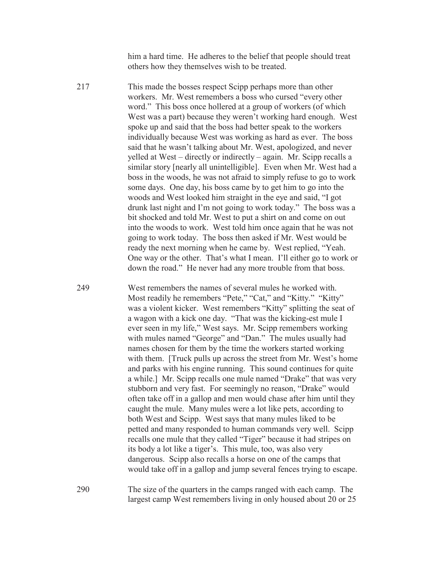him a hard time. He adheres to the belief that people should treat others how they themselves wish to be treated.

217 This made the bosses respect Scipp perhaps more than other workers. Mr. West remembers a boss who cursed "every other word." This boss once hollered at a group of workers (of which West was a part) because they weren't working hard enough. West spoke up and said that the boss had better speak to the workers individually because West was working as hard as ever. The boss said that he wasn't talking about Mr. West, apologized, and never yelled at West – directly or indirectly – again. Mr. Scipp recalls a similar story [nearly all unintelligible]. Even when Mr. West had a boss in the woods, he was not afraid to simply refuse to go to work some days. One day, his boss came by to get him to go into the woods and West looked him straight in the eye and said, "I got drunk last night and I'm not going to work today." The boss was a bit shocked and told Mr. West to put a shirt on and come on out into the woods to work. West told him once again that he was not going to work today. The boss then asked if Mr. West would be ready the next morning when he came by. West replied, "Yeah. One way or the other. That's what I mean. I'll either go to work or down the road." He never had any more trouble from that boss.

249 West remembers the names of several mules he worked with. Most readily he remembers "Pete," "Cat," and "Kitty." "Kitty" was a violent kicker. West remembers "Kitty" splitting the seat of a wagon with a kick one day. "That was the kicking-est mule I ever seen in my life," West says. Mr. Scipp remembers working with mules named "George" and "Dan." The mules usually had names chosen for them by the time the workers started working with them. [Truck pulls up across the street from Mr. West's home and parks with his engine running. This sound continues for quite a while.] Mr. Scipp recalls one mule named "Drake" that was very stubborn and very fast. For seemingly no reason, "Drake" would often take off in a gallop and men would chase after him until they caught the mule. Many mules were a lot like pets, according to both West and Scipp. West says that many mules liked to be petted and many responded to human commands very well. Scipp recalls one mule that they called "Tiger" because it had stripes on its body a lot like a tiger's. This mule, too, was also very dangerous. Scipp also recalls a horse on one of the camps that would take off in a gallop and jump several fences trying to escape.

290 The size of the quarters in the camps ranged with each camp. The largest camp West remembers living in only housed about 20 or 25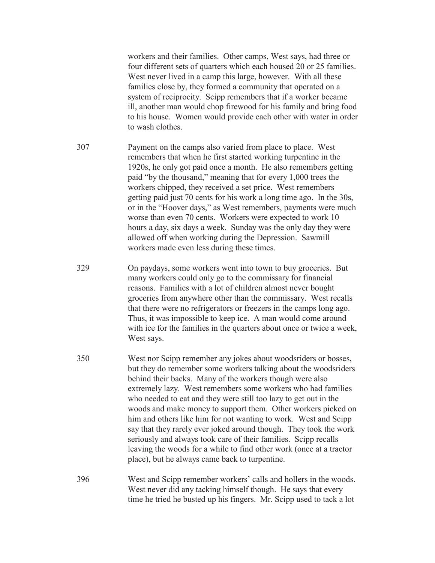workers and their families. Other camps, West says, had three or four different sets of quarters which each housed 20 or 25 families. West never lived in a camp this large, however. With all these families close by, they formed a community that operated on a system of reciprocity. Scipp remembers that if a worker became ill, another man would chop firewood for his family and bring food to his house. Women would provide each other with water in order to wash clothes.

- 307 Payment on the camps also varied from place to place. West remembers that when he first started working turpentine in the 1920s, he only got paid once a month. He also remembers getting paid "by the thousand," meaning that for every 1,000 trees the workers chipped, they received a set price. West remembers getting paid just 70 cents for his work a long time ago. In the 30s, or in the "Hoover days," as West remembers, payments were much worse than even 70 cents. Workers were expected to work 10 hours a day, six days a week. Sunday was the only day they were allowed off when working during the Depression. Sawmill workers made even less during these times.
- 329 On paydays, some workers went into town to buy groceries. But many workers could only go to the commissary for financial reasons. Families with a lot of children almost never bought groceries from anywhere other than the commissary. West recalls that there were no refrigerators or freezers in the camps long ago. Thus, it was impossible to keep ice. A man would come around with ice for the families in the quarters about once or twice a week, West says.
- 350 West nor Scipp remember any jokes about woodsriders or bosses, but they do remember some workers talking about the woodsriders behind their backs. Many of the workers though were also extremely lazy. West remembers some workers who had families who needed to eat and they were still too lazy to get out in the woods and make money to support them. Other workers picked on him and others like him for not wanting to work. West and Scipp say that they rarely ever joked around though. They took the work seriously and always took care of their families. Scipp recalls leaving the woods for a while to find other work (once at a tractor place), but he always came back to turpentine.
- 396 West and Scipp remember workers' calls and hollers in the woods. West never did any tacking himself though. He says that every time he tried he busted up his fingers. Mr. Scipp used to tack a lot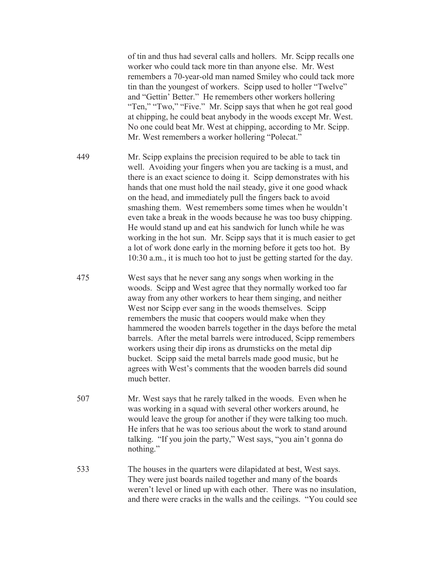of tin and thus had several calls and hollers. Mr. Scipp recalls one worker who could tack more tin than anyone else. Mr. West remembers a 70-year-old man named Smiley who could tack more tin than the youngest of workers. Scipp used to holler "Twelve" and "Gettin' Better." He remembers other workers hollering "Ten," "Two," "Five." Mr. Scipp says that when he got real good at chipping, he could beat anybody in the woods except Mr. West. No one could beat Mr. West at chipping, according to Mr. Scipp. Mr. West remembers a worker hollering "Polecat."

- 449 Mr. Scipp explains the precision required to be able to tack tin well. Avoiding your fingers when you are tacking is a must, and there is an exact science to doing it. Scipp demonstrates with his hands that one must hold the nail steady, give it one good whack on the head, and immediately pull the fingers back to avoid smashing them. West remembers some times when he wouldn't even take a break in the woods because he was too busy chipping. He would stand up and eat his sandwich for lunch while he was working in the hot sun. Mr. Scipp says that it is much easier to get a lot of work done early in the morning before it gets too hot. By 10:30 a.m., it is much too hot to just be getting started for the day.
- 475 West says that he never sang any songs when working in the woods. Scipp and West agree that they normally worked too far away from any other workers to hear them singing, and neither West nor Scipp ever sang in the woods themselves. Scipp remembers the music that coopers would make when they hammered the wooden barrels together in the days before the metal barrels. After the metal barrels were introduced, Scipp remembers workers using their dip irons as drumsticks on the metal dip bucket. Scipp said the metal barrels made good music, but he agrees with West's comments that the wooden barrels did sound much better.
- 507 Mr. West says that he rarely talked in the woods. Even when he was working in a squad with several other workers around, he would leave the group for another if they were talking too much. He infers that he was too serious about the work to stand around talking. "If you join the party," West says, "you ain't gonna do nothing."
- 533 The houses in the quarters were dilapidated at best, West says. They were just boards nailed together and many of the boards weren't level or lined up with each other. There was no insulation, and there were cracks in the walls and the ceilings. "You could see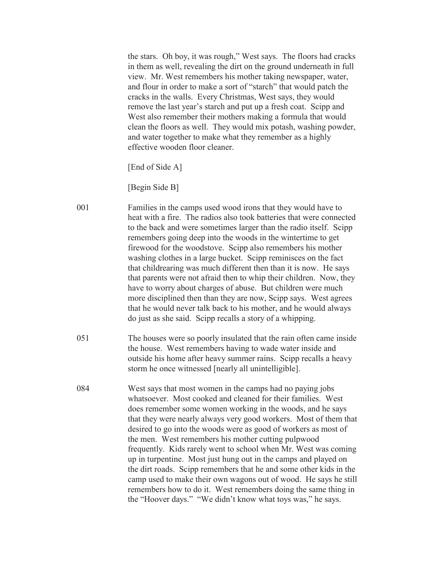the stars. Oh boy, it was rough," West says. The floors had cracks in them as well, revealing the dirt on the ground underneath in full view. Mr. West remembers his mother taking newspaper, water, and flour in order to make a sort of "starch" that would patch the cracks in the walls. Every Christmas, West says, they would remove the last year's starch and put up a fresh coat. Scipp and West also remember their mothers making a formula that would clean the floors as well. They would mix potash, washing powder, and water together to make what they remember as a highly effective wooden floor cleaner.

[End of Side A]

[Begin Side B]

- 001 Families in the camps used wood irons that they would have to heat with a fire. The radios also took batteries that were connected to the back and were sometimes larger than the radio itself. Scipp remembers going deep into the woods in the wintertime to get firewood for the woodstove. Scipp also remembers his mother washing clothes in a large bucket. Scipp reminisces on the fact that childrearing was much different then than it is now. He says that parents were not afraid then to whip their children. Now, they have to worry about charges of abuse. But children were much more disciplined then than they are now, Scipp says. West agrees that he would never talk back to his mother, and he would always do just as she said. Scipp recalls a story of a whipping.
- 051 The houses were so poorly insulated that the rain often came inside the house. West remembers having to wade water inside and outside his home after heavy summer rains. Scipp recalls a heavy storm he once witnessed [nearly all unintelligible].
- 084 West says that most women in the camps had no paying jobs whatsoever. Most cooked and cleaned for their families. West does remember some women working in the woods, and he says that they were nearly always very good workers. Most of them that desired to go into the woods were as good of workers as most of the men. West remembers his mother cutting pulpwood frequently. Kids rarely went to school when Mr. West was coming up in turpentine. Most just hung out in the camps and played on the dirt roads. Scipp remembers that he and some other kids in the camp used to make their own wagons out of wood. He says he still remembers how to do it. West remembers doing the same thing in the "Hoover days." "We didn't know what toys was," he says.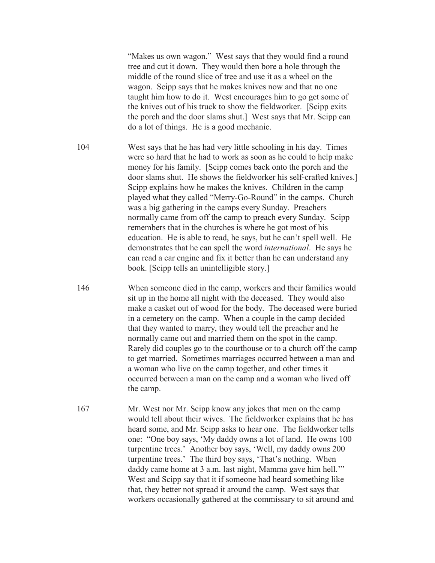"Makes us own wagon." West says that they would find a round tree and cut it down. They would then bore a hole through the middle of the round slice of tree and use it as a wheel on the wagon. Scipp says that he makes knives now and that no one taught him how to do it. West encourages him to go get some of the knives out of his truck to show the fieldworker. [Scipp exits the porch and the door slams shut.] West says that Mr. Scipp can do a lot of things. He is a good mechanic.

- 104 West says that he has had very little schooling in his day. Times were so hard that he had to work as soon as he could to help make money for his family. [Scipp comes back onto the porch and the door slams shut. He shows the fieldworker his self-crafted knives.] Scipp explains how he makes the knives. Children in the camp played what they called "Merry-Go-Round" in the camps. Church was a big gathering in the camps every Sunday. Preachers normally came from off the camp to preach every Sunday. Scipp remembers that in the churches is where he got most of his education. He is able to read, he says, but he can't spell well. He demonstrates that he can spell the word *international*. He says he can read a car engine and fix it better than he can understand any book. [Scipp tells an unintelligible story.]
- 146 When someone died in the camp, workers and their families would sit up in the home all night with the deceased. They would also make a casket out of wood for the body. The deceased were buried in a cemetery on the camp. When a couple in the camp decided that they wanted to marry, they would tell the preacher and he normally came out and married them on the spot in the camp. Rarely did couples go to the courthouse or to a church off the camp to get married. Sometimes marriages occurred between a man and a woman who live on the camp together, and other times it occurred between a man on the camp and a woman who lived off the camp.
- 167 Mr. West nor Mr. Scipp know any jokes that men on the camp would tell about their wives. The fieldworker explains that he has heard some, and Mr. Scipp asks to hear one. The fieldworker tells one: "One boy says, 'My daddy owns a lot of land. He owns 100 turpentine trees.' Another boy says, 'Well, my daddy owns 200 turpentine trees.' The third boy says, 'That's nothing. When daddy came home at 3 a.m. last night, Mamma gave him hell.'" West and Scipp say that it if someone had heard something like that, they better not spread it around the camp. West says that workers occasionally gathered at the commissary to sit around and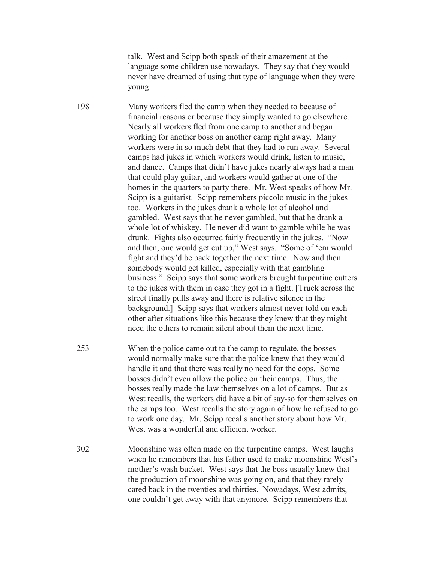talk. West and Scipp both speak of their amazement at the language some children use nowadays. They say that they would never have dreamed of using that type of language when they were young.

198 Many workers fled the camp when they needed to because of financial reasons or because they simply wanted to go elsewhere. Nearly all workers fled from one camp to another and began working for another boss on another camp right away. Many workers were in so much debt that they had to run away. Several camps had jukes in which workers would drink, listen to music, and dance. Camps that didn't have jukes nearly always had a man that could play guitar, and workers would gather at one of the homes in the quarters to party there. Mr. West speaks of how Mr. Scipp is a guitarist. Scipp remembers piccolo music in the jukes too. Workers in the jukes drank a whole lot of alcohol and gambled. West says that he never gambled, but that he drank a whole lot of whiskey. He never did want to gamble while he was drunk. Fights also occurred fairly frequently in the jukes. "Now and then, one would get cut up," West says. "Some of 'em would fight and they'd be back together the next time. Now and then somebody would get killed, especially with that gambling business." Scipp says that some workers brought turpentine cutters to the jukes with them in case they got in a fight. [Truck across the street finally pulls away and there is relative silence in the background.] Scipp says that workers almost never told on each other after situations like this because they knew that they might need the others to remain silent about them the next time.

- 253 When the police came out to the camp to regulate, the bosses would normally make sure that the police knew that they would handle it and that there was really no need for the cops. Some bosses didn't even allow the police on their camps. Thus, the bosses really made the law themselves on a lot of camps. But as West recalls, the workers did have a bit of say-so for themselves on the camps too. West recalls the story again of how he refused to go to work one day. Mr. Scipp recalls another story about how Mr. West was a wonderful and efficient worker.
- 302 Moonshine was often made on the turpentine camps. West laughs when he remembers that his father used to make moonshine West's mother's wash bucket. West says that the boss usually knew that the production of moonshine was going on, and that they rarely cared back in the twenties and thirties. Nowadays, West admits, one couldn't get away with that anymore. Scipp remembers that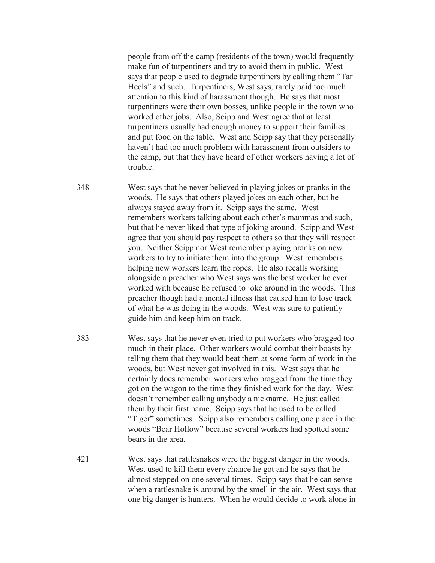people from off the camp (residents of the town) would frequently make fun of turpentiners and try to avoid them in public. West says that people used to degrade turpentiners by calling them "Tar Heels" and such. Turpentiners, West says, rarely paid too much attention to this kind of harassment though. He says that most turpentiners were their own bosses, unlike people in the town who worked other jobs. Also, Scipp and West agree that at least turpentiners usually had enough money to support their families and put food on the table. West and Scipp say that they personally haven't had too much problem with harassment from outsiders to the camp, but that they have heard of other workers having a lot of trouble.

348 West says that he never believed in playing jokes or pranks in the woods. He says that others played jokes on each other, but he always stayed away from it. Scipp says the same. West remembers workers talking about each other's mammas and such, but that he never liked that type of joking around. Scipp and West agree that you should pay respect to others so that they will respect you. Neither Scipp nor West remember playing pranks on new workers to try to initiate them into the group. West remembers helping new workers learn the ropes. He also recalls working alongside a preacher who West says was the best worker he ever worked with because he refused to joke around in the woods. This preacher though had a mental illness that caused him to lose track of what he was doing in the woods. West was sure to patiently guide him and keep him on track.

- 383 West says that he never even tried to put workers who bragged too much in their place. Other workers would combat their boasts by telling them that they would beat them at some form of work in the woods, but West never got involved in this. West says that he certainly does remember workers who bragged from the time they got on the wagon to the time they finished work for the day. West doesn't remember calling anybody a nickname. He just called them by their first name. Scipp says that he used to be called "Tiger" sometimes. Scipp also remembers calling one place in the woods "Bear Hollow" because several workers had spotted some bears in the area.
- 421 West says that rattlesnakes were the biggest danger in the woods. West used to kill them every chance he got and he says that he almost stepped on one several times. Scipp says that he can sense when a rattlesnake is around by the smell in the air. West says that one big danger is hunters. When he would decide to work alone in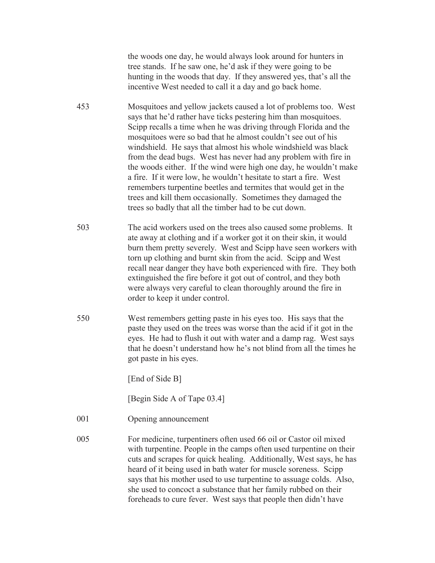the woods one day, he would always look around for hunters in tree stands. If he saw one, he'd ask if they were going to be hunting in the woods that day. If they answered yes, that's all the incentive West needed to call it a day and go back home.

453 Mosquitoes and yellow jackets caused a lot of problems too. West says that he'd rather have ticks pestering him than mosquitoes. Scipp recalls a time when he was driving through Florida and the mosquitoes were so bad that he almost couldn't see out of his windshield. He says that almost his whole windshield was black from the dead bugs. West has never had any problem with fire in the woods either. If the wind were high one day, he wouldn't make a fire. If it were low, he wouldn't hesitate to start a fire. West remembers turpentine beetles and termites that would get in the trees and kill them occasionally. Sometimes they damaged the trees so badly that all the timber had to be cut down.

- 503 The acid workers used on the trees also caused some problems. It ate away at clothing and if a worker got it on their skin, it would burn them pretty severely. West and Scipp have seen workers with torn up clothing and burnt skin from the acid. Scipp and West recall near danger they have both experienced with fire. They both extinguished the fire before it got out of control, and they both were always very careful to clean thoroughly around the fire in order to keep it under control.
- 550 West remembers getting paste in his eyes too. His says that the paste they used on the trees was worse than the acid if it got in the eyes. He had to flush it out with water and a damp rag. West says that he doesn't understand how he's not blind from all the times he got paste in his eyes.

[End of Side B]

[Begin Side A of Tape 03.4]

- 001 Opening announcement
- 005 For medicine, turpentiners often used 66 oil or Castor oil mixed with turpentine. People in the camps often used turpentine on their cuts and scrapes for quick healing. Additionally, West says, he has heard of it being used in bath water for muscle soreness. Scipp says that his mother used to use turpentine to assuage colds. Also, she used to concoct a substance that her family rubbed on their foreheads to cure fever. West says that people then didn't have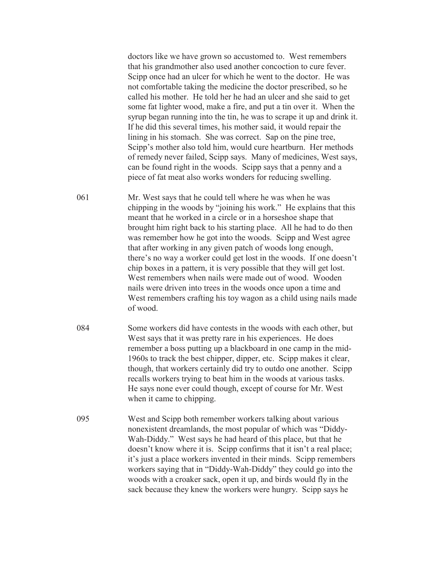doctors like we have grown so accustomed to. West remembers that his grandmother also used another concoction to cure fever. Scipp once had an ulcer for which he went to the doctor. He was not comfortable taking the medicine the doctor prescribed, so he called his mother. He told her he had an ulcer and she said to get some fat lighter wood, make a fire, and put a tin over it. When the syrup began running into the tin, he was to scrape it up and drink it. If he did this several times, his mother said, it would repair the lining in his stomach. She was correct. Sap on the pine tree, Scipp's mother also told him, would cure heartburn. Her methods of remedy never failed, Scipp says. Many of medicines, West says, can be found right in the woods. Scipp says that a penny and a piece of fat meat also works wonders for reducing swelling.

061 Mr. West says that he could tell where he was when he was chipping in the woods by "joining his work." He explains that this meant that he worked in a circle or in a horseshoe shape that brought him right back to his starting place. All he had to do then was remember how he got into the woods. Scipp and West agree that after working in any given patch of woods long enough, there's no way a worker could get lost in the woods. If one doesn't chip boxes in a pattern, it is very possible that they will get lost. West remembers when nails were made out of wood. Wooden nails were driven into trees in the woods once upon a time and West remembers crafting his toy wagon as a child using nails made of wood.

- 084 Some workers did have contests in the woods with each other, but West says that it was pretty rare in his experiences. He does remember a boss putting up a blackboard in one camp in the mid-1960s to track the best chipper, dipper, etc. Scipp makes it clear, though, that workers certainly did try to outdo one another. Scipp recalls workers trying to beat him in the woods at various tasks. He says none ever could though, except of course for Mr. West when it came to chipping.
- 095 West and Scipp both remember workers talking about various nonexistent dreamlands, the most popular of which was "Diddy-Wah-Diddy." West says he had heard of this place, but that he doesn't know where it is. Scipp confirms that it isn't a real place; it's just a place workers invented in their minds. Scipp remembers workers saying that in "Diddy-Wah-Diddy" they could go into the woods with a croaker sack, open it up, and birds would fly in the sack because they knew the workers were hungry. Scipp says he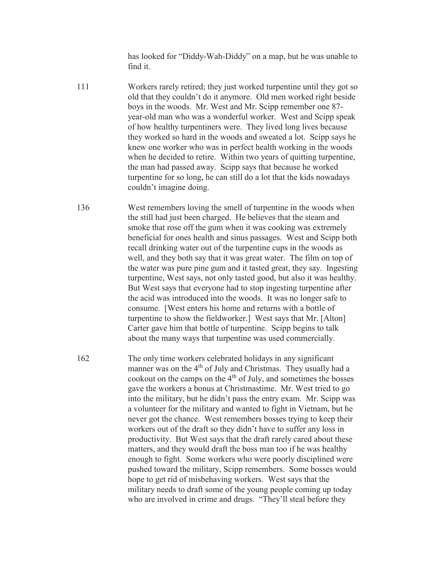has looked for "Diddy-Wah-Diddy" on a map, but he was unable to find it.

- 111 Workers rarely retired; they just worked turpentine until they got so old that they couldn't do it anymore. Old men worked right beside boys in the woods. Mr. West and Mr. Scipp remember one 87 year-old man who was a wonderful worker. West and Scipp speak of how healthy turpentiners were. They lived long lives because they worked so hard in the woods and sweated a lot. Scipp says he knew one worker who was in perfect health working in the woods when he decided to retire. Within two years of quitting turpentine, the man had passed away. Scipp says that because he worked turpentine for so long, he can still do a lot that the kids nowadays couldn't imagine doing.
- 136 West remembers loving the smell of turpentine in the woods when the still had just been charged. He believes that the steam and smoke that rose off the gum when it was cooking was extremely beneficial for ones health and sinus passages. West and Scipp both recall drinking water out of the turpentine cups in the woods as well, and they both say that it was great water. The film on top of the water was pure pine gum and it tasted great, they say. Ingesting turpentine, West says, not only tasted good, but also it was healthy. But West says that everyone had to stop ingesting turpentine after the acid was introduced into the woods. It was no longer safe to consume. [West enters his home and returns with a bottle of turpentine to show the fieldworker.] West says that Mr. [Alton] Carter gave him that bottle of turpentine. Scipp begins to talk about the many ways that turpentine was used commercially.

162 The only time workers celebrated holidays in any significant manner was on the 4<sup>th</sup> of July and Christmas. They usually had a cookout on the camps on the  $4<sup>th</sup>$  of July, and sometimes the bosses gave the workers a bonus at Christmastime. Mr. West tried to go into the military, but he didn't pass the entry exam. Mr. Scipp was a volunteer for the military and wanted to fight in Vietnam, but he never got the chance. West remembers bosses trying to keep their workers out of the draft so they didn't have to suffer any loss in productivity. But West says that the draft rarely cared about these matters, and they would draft the boss man too if he was healthy enough to fight. Some workers who were poorly disciplined were pushed toward the military, Scipp remembers. Some bosses would hope to get rid of misbehaving workers. West says that the military needs to draft some of the young people coming up today who are involved in crime and drugs. "They'll steal before they